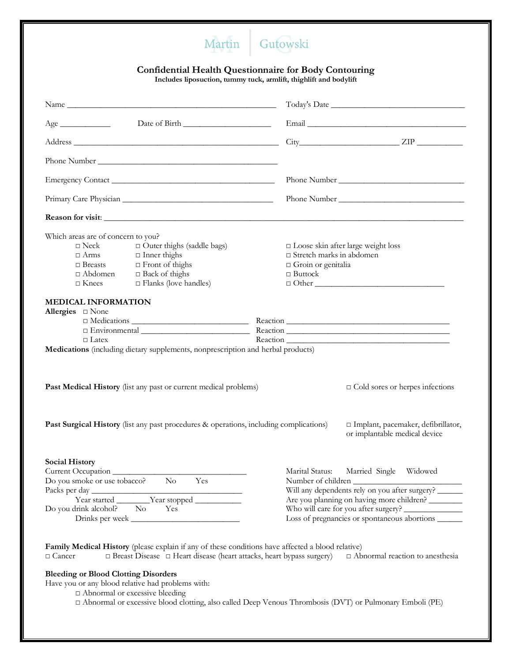## Martin Gutowski

## **Confidential Health Questionnaire for Body Contouring**

**Includes liposuction, tummy tuck, armlift, thighlift and bodylift**

| $Age \_$                                                                                                                                                                                               |                                                                                                                                                                                                                         |  |
|--------------------------------------------------------------------------------------------------------------------------------------------------------------------------------------------------------|-------------------------------------------------------------------------------------------------------------------------------------------------------------------------------------------------------------------------|--|
|                                                                                                                                                                                                        | $City$ $ZIP$ $\_\_\_\_\_\_$                                                                                                                                                                                             |  |
|                                                                                                                                                                                                        |                                                                                                                                                                                                                         |  |
|                                                                                                                                                                                                        |                                                                                                                                                                                                                         |  |
|                                                                                                                                                                                                        |                                                                                                                                                                                                                         |  |
|                                                                                                                                                                                                        |                                                                                                                                                                                                                         |  |
| Which areas are of concern to you?<br>$\Box$ Outer thighs (saddle bags)<br>$\Box$ Flanks (love handles)<br>$\Box$ Knees<br><b>MEDICAL INFORMATION</b>                                                  | $\Box$ Loose skin after large weight loss<br>$\Box$ Stretch marks in abdomen<br>$\Box$ Groin or genitalia<br>$\Box$ Buttock<br>$\Box$ $\Box$                                                                            |  |
| Allergies <sub>D</sub> None                                                                                                                                                                            |                                                                                                                                                                                                                         |  |
|                                                                                                                                                                                                        |                                                                                                                                                                                                                         |  |
| $\Box$ Latex<br>Medications (including dietary supplements, nonprescription and herbal products)                                                                                                       |                                                                                                                                                                                                                         |  |
| Past Medical History (list any past or current medical problems)                                                                                                                                       | $\Box$ Cold sores or herpes infections                                                                                                                                                                                  |  |
| <b>Past Surgical History</b> (list any past procedures & operations, including complications)                                                                                                          | □ Implant, pacemaker, defibrillator,<br>or implantable medical device                                                                                                                                                   |  |
| <b>Social History</b>                                                                                                                                                                                  |                                                                                                                                                                                                                         |  |
| Current Occupation<br>No<br>Yes<br>Do you smoke or use tobacco?<br>Do you drink alcohol? No<br>Yes<br>Drinks per week                                                                                  | Marital Status:<br>Married Single Widowed<br>Number of children _<br>Will any dependents rely on you after surgery?<br>Are you planning on having more children?<br>Loss of pregnancies or spontaneous abortions ______ |  |
| Family Medical History (please explain if any of these conditions have affected a blood relative)<br>$\Box$ Breast Disease $\Box$ Heart disease (heart attacks, heart bypass surgery)<br>$\Box$ Cancer | $\Box$ Abnormal reaction to anesthesia                                                                                                                                                                                  |  |
| <b>Bleeding or Blood Clotting Disorders</b><br>Have you or any blood relative had problems with:<br>$\Box$ Abnormal or excessive bleeding                                                              |                                                                                                                                                                                                                         |  |

□ Abnormal or excessive blood clotting, also called Deep Venous Thrombosis (DVT) or Pulmonary Emboli (PE)